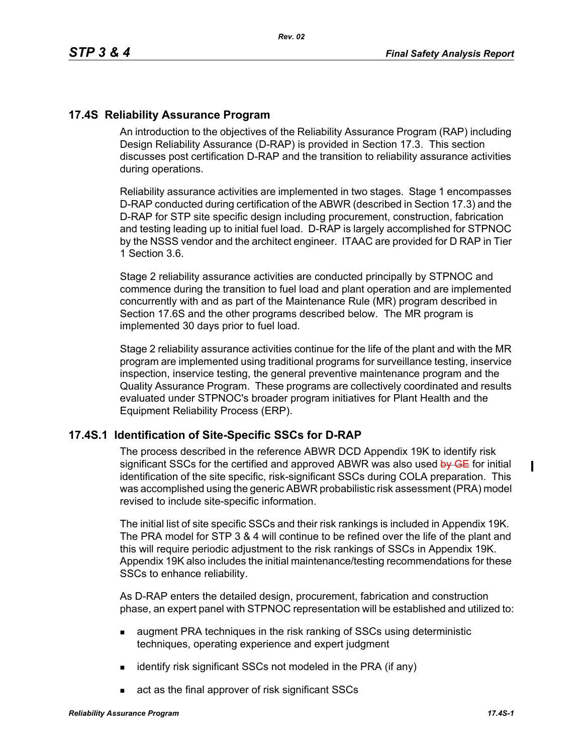# **17.4S Reliability Assurance Program**

An introduction to the objectives of the Reliability Assurance Program (RAP) including Design Reliability Assurance (D-RAP) is provided in Section 17.3. This section discusses post certification D-RAP and the transition to reliability assurance activities during operations.

Reliability assurance activities are implemented in two stages. Stage 1 encompasses D-RAP conducted during certification of the ABWR (described in Section 17.3) and the D-RAP for STP site specific design including procurement, construction, fabrication and testing leading up to initial fuel load. D-RAP is largely accomplished for STPNOC by the NSSS vendor and the architect engineer. ITAAC are provided for D RAP in Tier 1 Section 3.6.

Stage 2 reliability assurance activities are conducted principally by STPNOC and commence during the transition to fuel load and plant operation and are implemented concurrently with and as part of the Maintenance Rule (MR) program described in Section 17.6S and the other programs described below. The MR program is implemented 30 days prior to fuel load.

Stage 2 reliability assurance activities continue for the life of the plant and with the MR program are implemented using traditional programs for surveillance testing, inservice inspection, inservice testing, the general preventive maintenance program and the Quality Assurance Program. These programs are collectively coordinated and results evaluated under STPNOC's broader program initiatives for Plant Health and the Equipment Reliability Process (ERP).

### **17.4S.1 Identification of Site-Specific SSCs for D-RAP**

The process described in the reference ABWR DCD Appendix 19K to identify risk significant SSCs for the certified and approved ABWR was also used by GE for initial identification of the site specific, risk-significant SSCs during COLA preparation. This was accomplished using the generic ABWR probabilistic risk assessment (PRA) model revised to include site-specific information.

The initial list of site specific SSCs and their risk rankings is included in Appendix 19K. The PRA model for STP 3 & 4 will continue to be refined over the life of the plant and this will require periodic adjustment to the risk rankings of SSCs in Appendix 19K. Appendix 19K also includes the initial maintenance/testing recommendations for these SSCs to enhance reliability.

As D-RAP enters the detailed design, procurement, fabrication and construction phase, an expert panel with STPNOC representation will be established and utilized to:

- **a** augment PRA techniques in the risk ranking of SSCs using deterministic techniques, operating experience and expert judgment
- $\blacksquare$  identify risk significant SSCs not modeled in the PRA (if any)
- act as the final approver of risk significant SSCs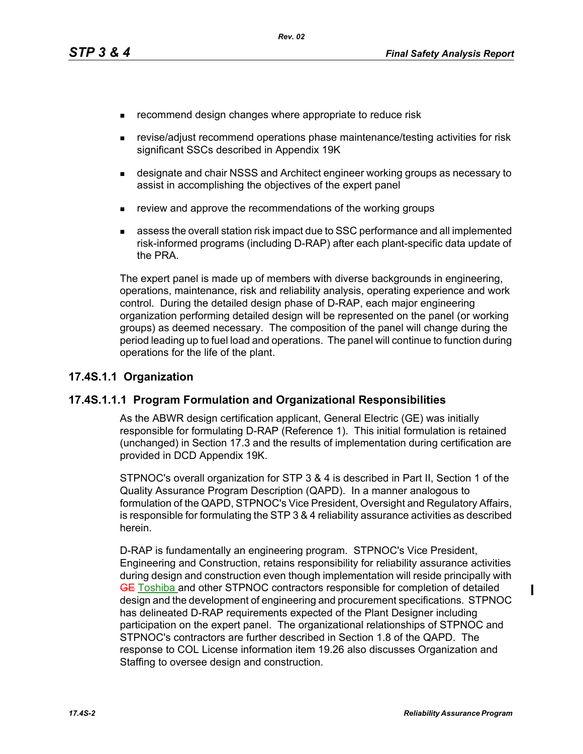- **EXECOMMENDERIGHT CHANGES** where appropriate to reduce risk
- revise/adjust recommend operations phase maintenance/testing activities for risk significant SSCs described in Appendix 19K
- designate and chair NSSS and Architect engineer working groups as necessary to assist in accomplishing the objectives of the expert panel
- **Fig. 2** review and approve the recommendations of the working groups
- assess the overall station risk impact due to SSC performance and all implemented risk-informed programs (including D-RAP) after each plant-specific data update of the PRA.

The expert panel is made up of members with diverse backgrounds in engineering, operations, maintenance, risk and reliability analysis, operating experience and work control. During the detailed design phase of D-RAP, each major engineering organization performing detailed design will be represented on the panel (or working groups) as deemed necessary. The composition of the panel will change during the period leading up to fuel load and operations. The panel will continue to function during operations for the life of the plant.

### **17.4S.1.1 Organization**

### **17.4S.1.1.1 Program Formulation and Organizational Responsibilities**

As the ABWR design certification applicant, General Electric (GE) was initially responsible for formulating D-RAP (Reference 1). This initial formulation is retained (unchanged) in Section 17.3 and the results of implementation during certification are provided in DCD Appendix 19K.

STPNOC's overall organization for STP 3 & 4 is described in Part II, Section 1 of the Quality Assurance Program Description (QAPD). In a manner analogous to formulation of the QAPD, STPNOC's Vice President, Oversight and Regulatory Affairs, is responsible for formulating the STP 3 & 4 reliability assurance activities as described herein.

D-RAP is fundamentally an engineering program. STPNOC's Vice President, Engineering and Construction, retains responsibility for reliability assurance activities during design and construction even though implementation will reside principally with GE Toshiba and other STPNOC contractors responsible for completion of detailed design and the development of engineering and procurement specifications. STPNOC has delineated D-RAP requirements expected of the Plant Designer including participation on the expert panel. The organizational relationships of STPNOC and STPNOC's contractors are further described in Section 1.8 of the QAPD. The response to COL License information item 19.26 also discusses Organization and Staffing to oversee design and construction.

П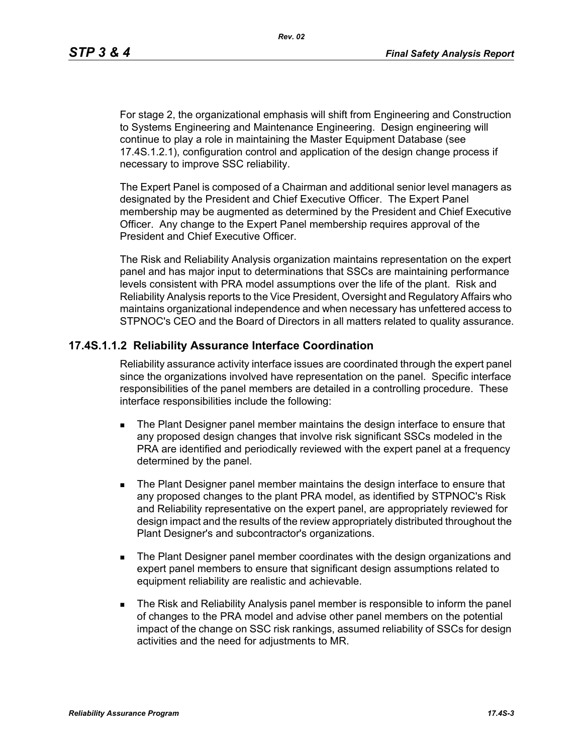For stage 2, the organizational emphasis will shift from Engineering and Construction to Systems Engineering and Maintenance Engineering. Design engineering will continue to play a role in maintaining the Master Equipment Database (see 17.4S.1.2.1), configuration control and application of the design change process if necessary to improve SSC reliability.

The Expert Panel is composed of a Chairman and additional senior level managers as designated by the President and Chief Executive Officer. The Expert Panel membership may be augmented as determined by the President and Chief Executive Officer. Any change to the Expert Panel membership requires approval of the President and Chief Executive Officer.

The Risk and Reliability Analysis organization maintains representation on the expert panel and has major input to determinations that SSCs are maintaining performance levels consistent with PRA model assumptions over the life of the plant. Risk and Reliability Analysis reports to the Vice President, Oversight and Regulatory Affairs who maintains organizational independence and when necessary has unfettered access to STPNOC's CEO and the Board of Directors in all matters related to quality assurance.

### **17.4S.1.1.2 Reliability Assurance Interface Coordination**

Reliability assurance activity interface issues are coordinated through the expert panel since the organizations involved have representation on the panel. Specific interface responsibilities of the panel members are detailed in a controlling procedure. These interface responsibilities include the following:

- **The Plant Designer panel member maintains the design interface to ensure that** any proposed design changes that involve risk significant SSCs modeled in the PRA are identified and periodically reviewed with the expert panel at a frequency determined by the panel.
- The Plant Designer panel member maintains the design interface to ensure that any proposed changes to the plant PRA model, as identified by STPNOC's Risk and Reliability representative on the expert panel, are appropriately reviewed for design impact and the results of the review appropriately distributed throughout the Plant Designer's and subcontractor's organizations.
- **The Plant Designer panel member coordinates with the design organizations and** expert panel members to ensure that significant design assumptions related to equipment reliability are realistic and achievable.
- The Risk and Reliability Analysis panel member is responsible to inform the panel of changes to the PRA model and advise other panel members on the potential impact of the change on SSC risk rankings, assumed reliability of SSCs for design activities and the need for adjustments to MR.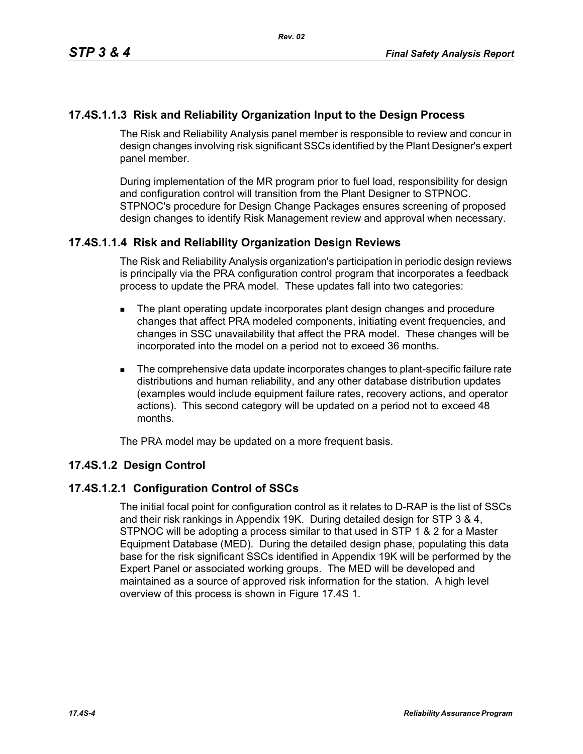# **17.4S.1.1.3 Risk and Reliability Organization Input to the Design Process**

The Risk and Reliability Analysis panel member is responsible to review and concur in design changes involving risk significant SSCs identified by the Plant Designer's expert panel member.

During implementation of the MR program prior to fuel load, responsibility for design and configuration control will transition from the Plant Designer to STPNOC. STPNOC's procedure for Design Change Packages ensures screening of proposed design changes to identify Risk Management review and approval when necessary.

# **17.4S.1.1.4 Risk and Reliability Organization Design Reviews**

The Risk and Reliability Analysis organization's participation in periodic design reviews is principally via the PRA configuration control program that incorporates a feedback process to update the PRA model. These updates fall into two categories:

- **The plant operating update incorporates plant design changes and procedure** changes that affect PRA modeled components, initiating event frequencies, and changes in SSC unavailability that affect the PRA model. These changes will be incorporated into the model on a period not to exceed 36 months.
- The comprehensive data update incorporates changes to plant-specific failure rate distributions and human reliability, and any other database distribution updates (examples would include equipment failure rates, recovery actions, and operator actions). This second category will be updated on a period not to exceed 48 months.

The PRA model may be updated on a more frequent basis.

### **17.4S.1.2 Design Control**

### **17.4S.1.2.1 Configuration Control of SSCs**

The initial focal point for configuration control as it relates to D-RAP is the list of SSCs and their risk rankings in Appendix 19K. During detailed design for STP 3 & 4, STPNOC will be adopting a process similar to that used in STP 1 & 2 for a Master Equipment Database (MED). During the detailed design phase, populating this data base for the risk significant SSCs identified in Appendix 19K will be performed by the Expert Panel or associated working groups. The MED will be developed and maintained as a source of approved risk information for the station. A high level overview of this process is shown in Figure 17.4S 1.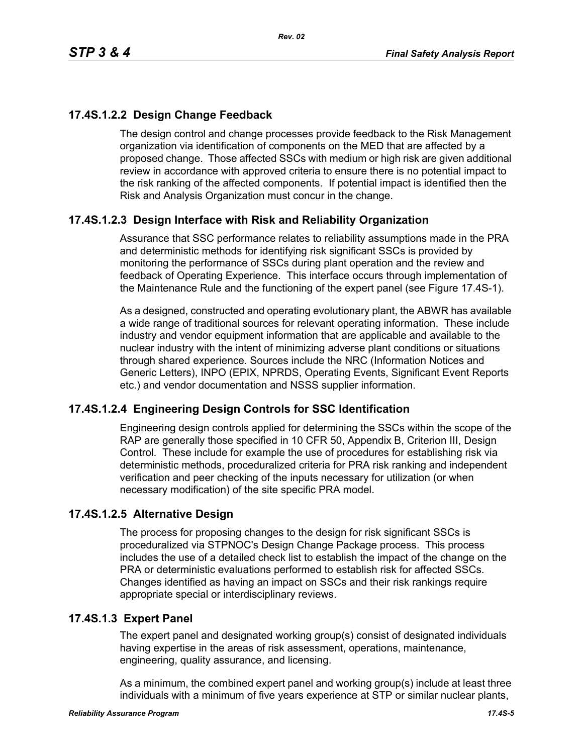# **17.4S.1.2.2 Design Change Feedback**

The design control and change processes provide feedback to the Risk Management organization via identification of components on the MED that are affected by a proposed change. Those affected SSCs with medium or high risk are given additional review in accordance with approved criteria to ensure there is no potential impact to the risk ranking of the affected components. If potential impact is identified then the Risk and Analysis Organization must concur in the change.

# **17.4S.1.2.3 Design Interface with Risk and Reliability Organization**

Assurance that SSC performance relates to reliability assumptions made in the PRA and deterministic methods for identifying risk significant SSCs is provided by monitoring the performance of SSCs during plant operation and the review and feedback of Operating Experience. This interface occurs through implementation of the Maintenance Rule and the functioning of the expert panel (see Figure 17.4S-1).

As a designed, constructed and operating evolutionary plant, the ABWR has available a wide range of traditional sources for relevant operating information. These include industry and vendor equipment information that are applicable and available to the nuclear industry with the intent of minimizing adverse plant conditions or situations through shared experience. Sources include the NRC (Information Notices and Generic Letters), INPO (EPIX, NPRDS, Operating Events, Significant Event Reports etc.) and vendor documentation and NSSS supplier information.

# **17.4S.1.2.4 Engineering Design Controls for SSC Identification**

Engineering design controls applied for determining the SSCs within the scope of the RAP are generally those specified in 10 CFR 50, Appendix B, Criterion III, Design Control. These include for example the use of procedures for establishing risk via deterministic methods, proceduralized criteria for PRA risk ranking and independent verification and peer checking of the inputs necessary for utilization (or when necessary modification) of the site specific PRA model.

# **17.4S.1.2.5 Alternative Design**

The process for proposing changes to the design for risk significant SSCs is proceduralized via STPNOC's Design Change Package process. This process includes the use of a detailed check list to establish the impact of the change on the PRA or deterministic evaluations performed to establish risk for affected SSCs. Changes identified as having an impact on SSCs and their risk rankings require appropriate special or interdisciplinary reviews.

# **17.4S.1.3 Expert Panel**

The expert panel and designated working group(s) consist of designated individuals having expertise in the areas of risk assessment, operations, maintenance, engineering, quality assurance, and licensing.

As a minimum, the combined expert panel and working group(s) include at least three individuals with a minimum of five years experience at STP or similar nuclear plants,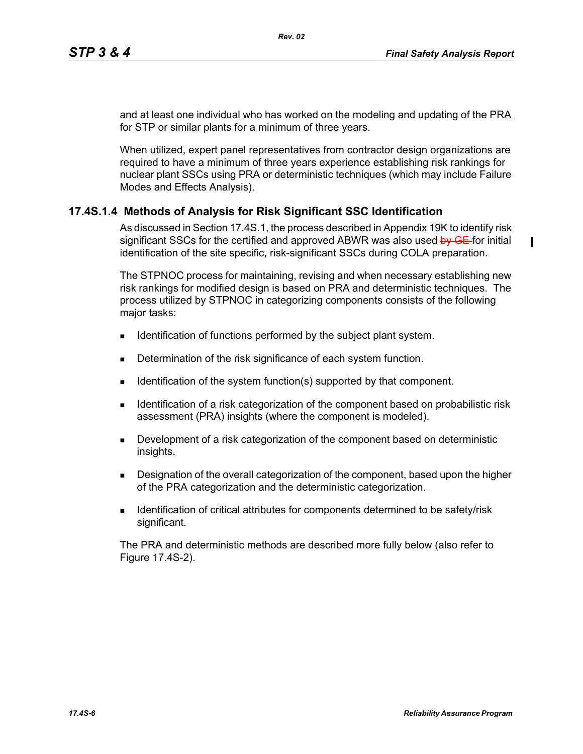$\blacksquare$ 

and at least one individual who has worked on the modeling and updating of the PRA for STP or similar plants for a minimum of three years.

When utilized, expert panel representatives from contractor design organizations are required to have a minimum of three years experience establishing risk rankings for nuclear plant SSCs using PRA or deterministic techniques (which may include Failure Modes and Effects Analysis).

# **17.4S.1.4 Methods of Analysis for Risk Significant SSC Identification**

As discussed in Section 17.4S.1, the process described in Appendix 19K to identify risk significant SSCs for the certified and approved ABWR was also used by GE-for initial identification of the site specific, risk-significant SSCs during COLA preparation.

The STPNOC process for maintaining, revising and when necessary establishing new risk rankings for modified design is based on PRA and deterministic techniques. The process utilized by STPNOC in categorizing components consists of the following major tasks:

- Identification of functions performed by the subject plant system.
- Determination of the risk significance of each system function.
- Identification of the system function(s) supported by that component.
- **IDENTIFY IDENTIFY IDENT** Identification of the component based on probabilistic risk assessment (PRA) insights (where the component is modeled).
- **Development of a risk categorization of the component based on deterministic** insights.
- **Designation of the overall categorization of the component, based upon the higher** of the PRA categorization and the deterministic categorization.
- **IDENTIFICATE:** Identification of critical attributes for components determined to be safety/risk significant.

The PRA and deterministic methods are described more fully below (also refer to Figure 17.4S-2).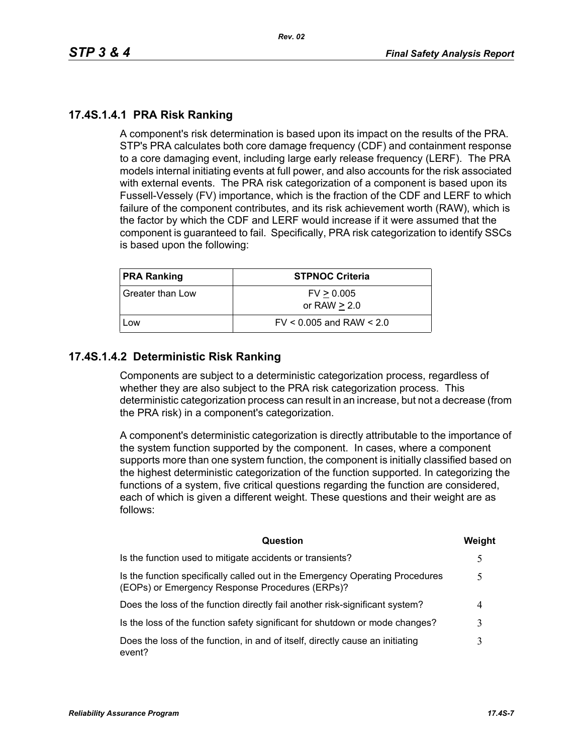# **17.4S.1.4.1 PRA Risk Ranking**

A component's risk determination is based upon its impact on the results of the PRA. STP's PRA calculates both core damage frequency (CDF) and containment response to a core damaging event, including large early release frequency (LERF). The PRA models internal initiating events at full power, and also accounts for the risk associated with external events. The PRA risk categorization of a component is based upon its Fussell-Vessely (FV) importance, which is the fraction of the CDF and LERF to which failure of the component contributes, and its risk achievement worth (RAW), which is the factor by which the CDF and LERF would increase if it were assumed that the component is guaranteed to fail. Specifically, PRA risk categorization to identify SSCs is based upon the following:

| <b>PRA Ranking</b> | <b>STPNOC Criteria</b>       |
|--------------------|------------------------------|
| Greater than Low   | FV > 0.005<br>or RAW $> 2.0$ |
| Low                | $FV < 0.005$ and RAW $< 2.0$ |

# **17.4S.1.4.2 Deterministic Risk Ranking**

Components are subject to a deterministic categorization process, regardless of whether they are also subject to the PRA risk categorization process. This deterministic categorization process can result in an increase, but not a decrease (from the PRA risk) in a component's categorization.

A component's deterministic categorization is directly attributable to the importance of the system function supported by the component. In cases, where a component supports more than one system function, the component is initially classified based on the highest deterministic categorization of the function supported. In categorizing the functions of a system, five critical questions regarding the function are considered, each of which is given a different weight. These questions and their weight are as follows:

| Question                                                                                                                         | Weight |
|----------------------------------------------------------------------------------------------------------------------------------|--------|
| Is the function used to mitigate accidents or transients?                                                                        |        |
| Is the function specifically called out in the Emergency Operating Procedures<br>(EOPs) or Emergency Response Procedures (ERPs)? | 5      |
| Does the loss of the function directly fail another risk-significant system?                                                     | 4      |
| Is the loss of the function safety significant for shutdown or mode changes?                                                     | 3      |
| Does the loss of the function, in and of itself, directly cause an initiating<br>event?                                          |        |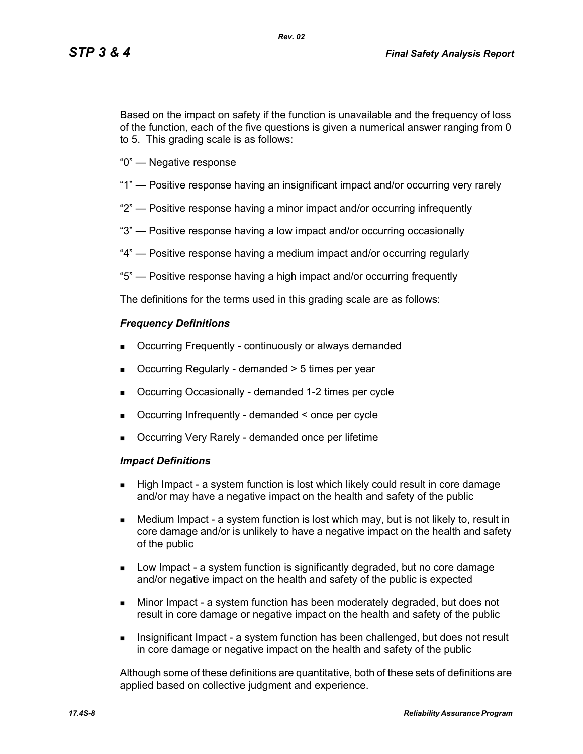Based on the impact on safety if the function is unavailable and the frequency of loss of the function, each of the five questions is given a numerical answer ranging from 0 to 5. This grading scale is as follows:

- "0" Negative response
- "1" Positive response having an insignificant impact and/or occurring very rarely
- "2" Positive response having a minor impact and/or occurring infrequently
- "3" Positive response having a low impact and/or occurring occasionally
- "4" Positive response having a medium impact and/or occurring regularly
- "5" Positive response having a high impact and/or occurring frequently

The definitions for the terms used in this grading scale are as follows:

#### *Frequency Definitions*

- Occurring Frequently continuously or always demanded
- Occurring Regularly demanded > 5 times per year
- Occurring Occasionally demanded 1-2 times per cycle
- Occurring Infrequently demanded < once per cycle
- Occurring Very Rarely demanded once per lifetime

#### *Impact Definitions*

- High Impact a system function is lost which likely could result in core damage and/or may have a negative impact on the health and safety of the public
- Medium Impact a system function is lost which may, but is not likely to, result in core damage and/or is unlikely to have a negative impact on the health and safety of the public
- Low Impact a system function is significantly degraded, but no core damage and/or negative impact on the health and safety of the public is expected
- Minor Impact a system function has been moderately degraded, but does not result in core damage or negative impact on the health and safety of the public
- Insignificant Impact a system function has been challenged, but does not result in core damage or negative impact on the health and safety of the public

Although some of these definitions are quantitative, both of these sets of definitions are applied based on collective judgment and experience.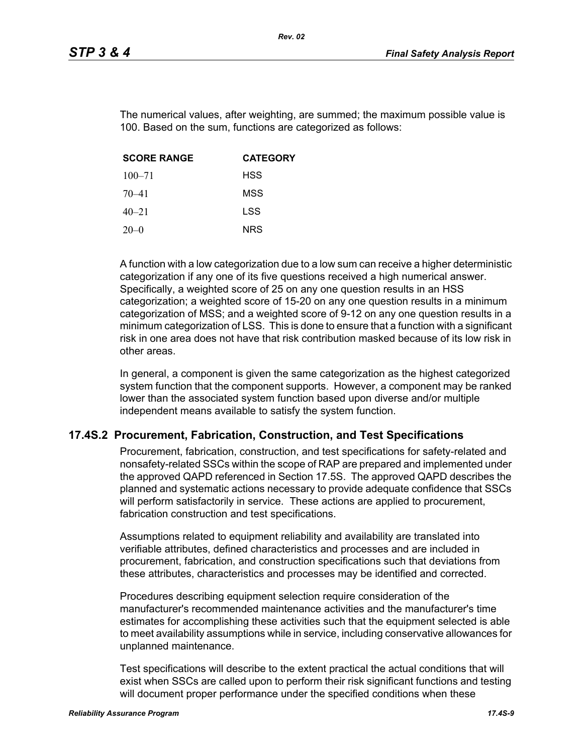The numerical values, after weighting, are summed; the maximum possible value is 100. Based on the sum, functions are categorized as follows:

| <b>SCORE RANGE</b> | <b>CATEGORY</b> |
|--------------------|-----------------|
| $100 - 71$         | <b>HSS</b>      |
| $70 - 41$          | MSS             |
| $40 - 21$          | LSS             |
| $20-0$             | <b>NRS</b>      |

A function with a low categorization due to a low sum can receive a higher deterministic categorization if any one of its five questions received a high numerical answer. Specifically, a weighted score of 25 on any one question results in an HSS categorization; a weighted score of 15-20 on any one question results in a minimum categorization of MSS; and a weighted score of 9-12 on any one question results in a minimum categorization of LSS. This is done to ensure that a function with a significant risk in one area does not have that risk contribution masked because of its low risk in other areas.

In general, a component is given the same categorization as the highest categorized system function that the component supports. However, a component may be ranked lower than the associated system function based upon diverse and/or multiple independent means available to satisfy the system function.

### **17.4S.2 Procurement, Fabrication, Construction, and Test Specifications**

Procurement, fabrication, construction, and test specifications for safety-related and nonsafety-related SSCs within the scope of RAP are prepared and implemented under the approved QAPD referenced in Section 17.5S. The approved QAPD describes the planned and systematic actions necessary to provide adequate confidence that SSCs will perform satisfactorily in service. These actions are applied to procurement, fabrication construction and test specifications.

Assumptions related to equipment reliability and availability are translated into verifiable attributes, defined characteristics and processes and are included in procurement, fabrication, and construction specifications such that deviations from these attributes, characteristics and processes may be identified and corrected.

Procedures describing equipment selection require consideration of the manufacturer's recommended maintenance activities and the manufacturer's time estimates for accomplishing these activities such that the equipment selected is able to meet availability assumptions while in service, including conservative allowances for unplanned maintenance.

Test specifications will describe to the extent practical the actual conditions that will exist when SSCs are called upon to perform their risk significant functions and testing will document proper performance under the specified conditions when these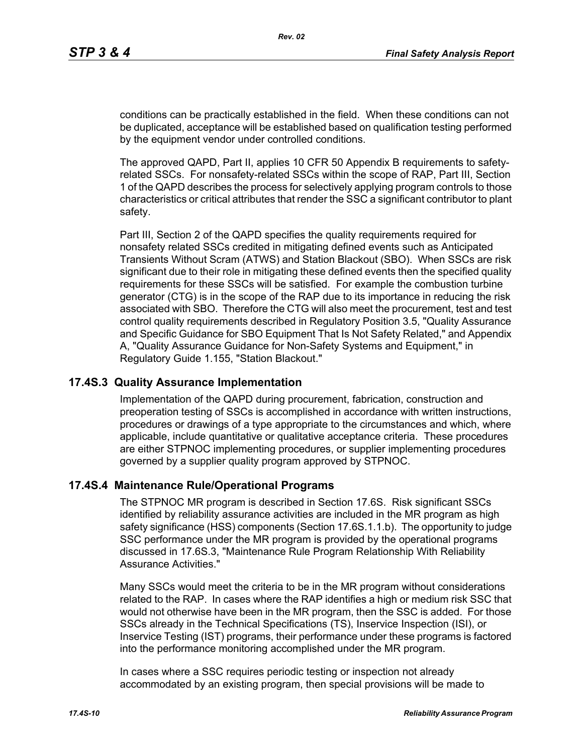conditions can be practically established in the field. When these conditions can not be duplicated, acceptance will be established based on qualification testing performed by the equipment vendor under controlled conditions.

The approved QAPD, Part II, applies 10 CFR 50 Appendix B requirements to safetyrelated SSCs. For nonsafety-related SSCs within the scope of RAP, Part III, Section 1 of the QAPD describes the process for selectively applying program controls to those characteristics or critical attributes that render the SSC a significant contributor to plant safety.

Part III, Section 2 of the QAPD specifies the quality requirements required for nonsafety related SSCs credited in mitigating defined events such as Anticipated Transients Without Scram (ATWS) and Station Blackout (SBO). When SSCs are risk significant due to their role in mitigating these defined events then the specified quality requirements for these SSCs will be satisfied. For example the combustion turbine generator (CTG) is in the scope of the RAP due to its importance in reducing the risk associated with SBO. Therefore the CTG will also meet the procurement, test and test control quality requirements described in Regulatory Position 3.5, "Quality Assurance and Specific Guidance for SBO Equipment That Is Not Safety Related," and Appendix A, "Quality Assurance Guidance for Non-Safety Systems and Equipment," in Regulatory Guide 1.155, "Station Blackout."

### **17.4S.3 Quality Assurance Implementation**

Implementation of the QAPD during procurement, fabrication, construction and preoperation testing of SSCs is accomplished in accordance with written instructions, procedures or drawings of a type appropriate to the circumstances and which, where applicable, include quantitative or qualitative acceptance criteria. These procedures are either STPNOC implementing procedures, or supplier implementing procedures governed by a supplier quality program approved by STPNOC.

#### **17.4S.4 Maintenance Rule/Operational Programs**

The STPNOC MR program is described in Section 17.6S. Risk significant SSCs identified by reliability assurance activities are included in the MR program as high safety significance (HSS) components (Section 17.6S.1.1.b). The opportunity to judge SSC performance under the MR program is provided by the operational programs discussed in 17.6S.3, "Maintenance Rule Program Relationship With Reliability Assurance Activities."

Many SSCs would meet the criteria to be in the MR program without considerations related to the RAP. In cases where the RAP identifies a high or medium risk SSC that would not otherwise have been in the MR program, then the SSC is added. For those SSCs already in the Technical Specifications (TS), Inservice Inspection (ISI), or Inservice Testing (IST) programs, their performance under these programs is factored into the performance monitoring accomplished under the MR program.

In cases where a SSC requires periodic testing or inspection not already accommodated by an existing program, then special provisions will be made to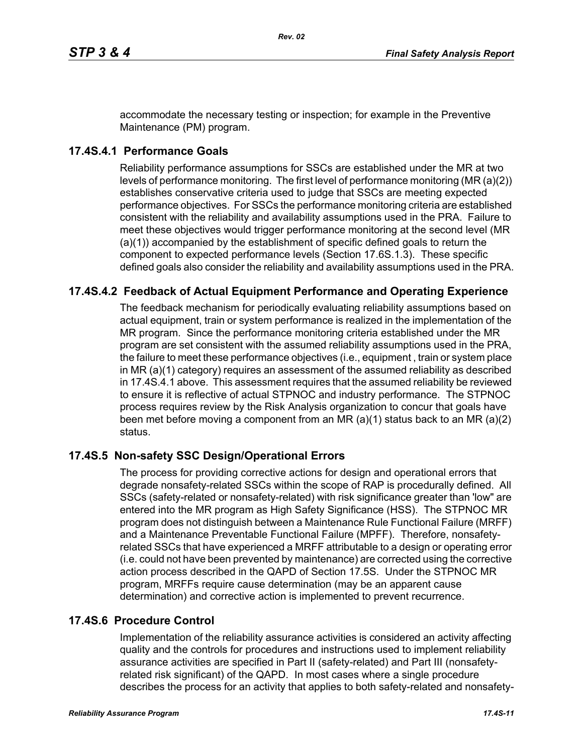accommodate the necessary testing or inspection; for example in the Preventive Maintenance (PM) program.

# **17.4S.4.1 Performance Goals**

Reliability performance assumptions for SSCs are established under the MR at two levels of performance monitoring. The first level of performance monitoring (MR (a)(2)) establishes conservative criteria used to judge that SSCs are meeting expected performance objectives. For SSCs the performance monitoring criteria are established consistent with the reliability and availability assumptions used in the PRA. Failure to meet these objectives would trigger performance monitoring at the second level (MR (a)(1)) accompanied by the establishment of specific defined goals to return the component to expected performance levels (Section 17.6S.1.3). These specific defined goals also consider the reliability and availability assumptions used in the PRA.

# **17.4S.4.2 Feedback of Actual Equipment Performance and Operating Experience**

The feedback mechanism for periodically evaluating reliability assumptions based on actual equipment, train or system performance is realized in the implementation of the MR program. Since the performance monitoring criteria established under the MR program are set consistent with the assumed reliability assumptions used in the PRA, the failure to meet these performance objectives (i.e., equipment , train or system place in MR (a)(1) category) requires an assessment of the assumed reliability as described in 17.4S.4.1 above. This assessment requires that the assumed reliability be reviewed to ensure it is reflective of actual STPNOC and industry performance. The STPNOC process requires review by the Risk Analysis organization to concur that goals have been met before moving a component from an MR (a)(1) status back to an MR (a)(2) status.

# **17.4S.5 Non-safety SSC Design/Operational Errors**

The process for providing corrective actions for design and operational errors that degrade nonsafety-related SSCs within the scope of RAP is procedurally defined. All SSCs (safety-related or nonsafety-related) with risk significance greater than 'low" are entered into the MR program as High Safety Significance (HSS). The STPNOC MR program does not distinguish between a Maintenance Rule Functional Failure (MRFF) and a Maintenance Preventable Functional Failure (MPFF). Therefore, nonsafetyrelated SSCs that have experienced a MRFF attributable to a design or operating error (i.e. could not have been prevented by maintenance) are corrected using the corrective action process described in the QAPD of Section 17.5S. Under the STPNOC MR program, MRFFs require cause determination (may be an apparent cause determination) and corrective action is implemented to prevent recurrence.

# **17.4S.6 Procedure Control**

Implementation of the reliability assurance activities is considered an activity affecting quality and the controls for procedures and instructions used to implement reliability assurance activities are specified in Part II (safety-related) and Part III (nonsafetyrelated risk significant) of the QAPD. In most cases where a single procedure describes the process for an activity that applies to both safety-related and nonsafety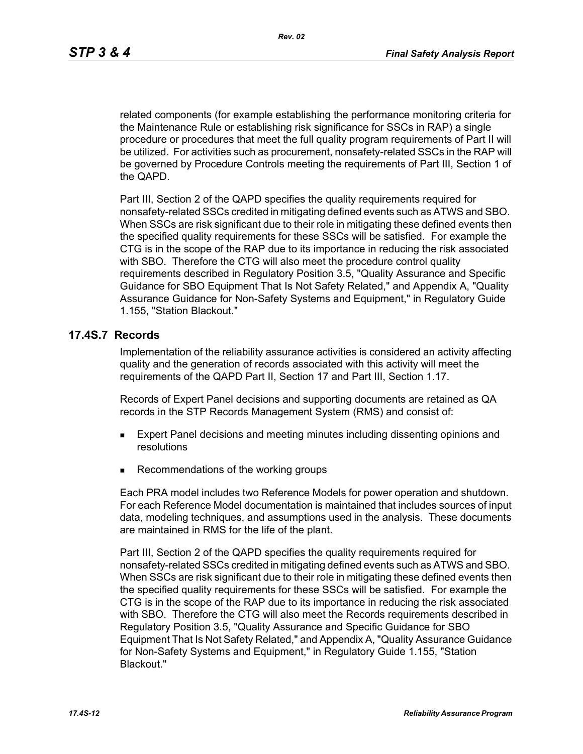related components (for example establishing the performance monitoring criteria for the Maintenance Rule or establishing risk significance for SSCs in RAP) a single procedure or procedures that meet the full quality program requirements of Part II will be utilized. For activities such as procurement, nonsafety-related SSCs in the RAP will be governed by Procedure Controls meeting the requirements of Part III, Section 1 of the QAPD.

Part III, Section 2 of the QAPD specifies the quality requirements required for nonsafety-related SSCs credited in mitigating defined events such as ATWS and SBO. When SSCs are risk significant due to their role in mitigating these defined events then the specified quality requirements for these SSCs will be satisfied. For example the CTG is in the scope of the RAP due to its importance in reducing the risk associated with SBO. Therefore the CTG will also meet the procedure control quality requirements described in Regulatory Position 3.5, "Quality Assurance and Specific Guidance for SBO Equipment That Is Not Safety Related," and Appendix A, "Quality Assurance Guidance for Non-Safety Systems and Equipment," in Regulatory Guide 1.155, "Station Blackout."

#### **17.4S.7 Records**

Implementation of the reliability assurance activities is considered an activity affecting quality and the generation of records associated with this activity will meet the requirements of the QAPD Part II, Section 17 and Part III, Section 1.17.

Records of Expert Panel decisions and supporting documents are retained as QA records in the STP Records Management System (RMS) and consist of:

- **Expert Panel decisions and meeting minutes including dissenting opinions and** resolutions
- Recommendations of the working groups

Each PRA model includes two Reference Models for power operation and shutdown. For each Reference Model documentation is maintained that includes sources of input data, modeling techniques, and assumptions used in the analysis. These documents are maintained in RMS for the life of the plant.

Part III, Section 2 of the QAPD specifies the quality requirements required for nonsafety-related SSCs credited in mitigating defined events such as ATWS and SBO. When SSCs are risk significant due to their role in mitigating these defined events then the specified quality requirements for these SSCs will be satisfied. For example the CTG is in the scope of the RAP due to its importance in reducing the risk associated with SBO. Therefore the CTG will also meet the Records requirements described in Regulatory Position 3.5, "Quality Assurance and Specific Guidance for SBO Equipment That Is Not Safety Related," and Appendix A, "Quality Assurance Guidance for Non-Safety Systems and Equipment," in Regulatory Guide 1.155, "Station Blackout."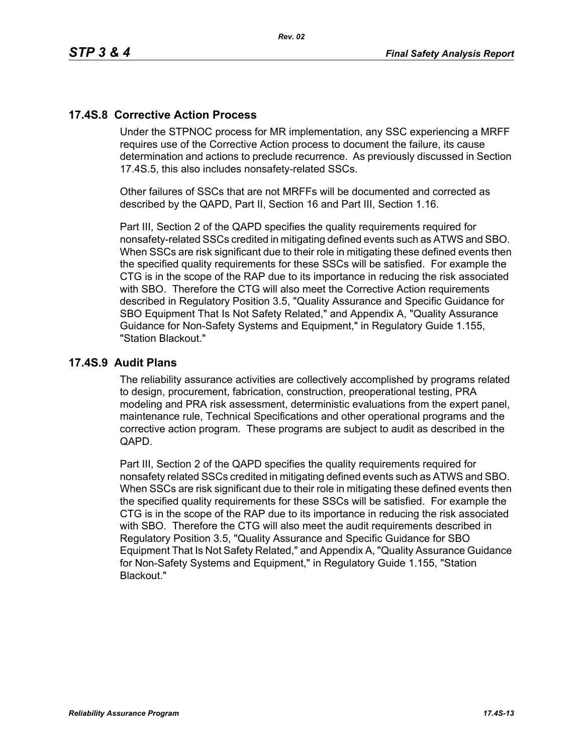# **17.4S.8 Corrective Action Process**

Under the STPNOC process for MR implementation, any SSC experiencing a MRFF requires use of the Corrective Action process to document the failure, its cause determination and actions to preclude recurrence. As previously discussed in Section 17.4S.5, this also includes nonsafety-related SSCs.

Other failures of SSCs that are not MRFFs will be documented and corrected as described by the QAPD, Part II, Section 16 and Part III, Section 1.16.

Part III, Section 2 of the QAPD specifies the quality requirements required for nonsafety-related SSCs credited in mitigating defined events such as ATWS and SBO. When SSCs are risk significant due to their role in mitigating these defined events then the specified quality requirements for these SSCs will be satisfied. For example the CTG is in the scope of the RAP due to its importance in reducing the risk associated with SBO. Therefore the CTG will also meet the Corrective Action requirements described in Regulatory Position 3.5, "Quality Assurance and Specific Guidance for SBO Equipment That Is Not Safety Related," and Appendix A, "Quality Assurance Guidance for Non-Safety Systems and Equipment," in Regulatory Guide 1.155, "Station Blackout."

### **17.4S.9 Audit Plans**

The reliability assurance activities are collectively accomplished by programs related to design, procurement, fabrication, construction, preoperational testing, PRA modeling and PRA risk assessment, deterministic evaluations from the expert panel, maintenance rule, Technical Specifications and other operational programs and the corrective action program. These programs are subject to audit as described in the QAPD.

Part III, Section 2 of the QAPD specifies the quality requirements required for nonsafety related SSCs credited in mitigating defined events such as ATWS and SBO. When SSCs are risk significant due to their role in mitigating these defined events then the specified quality requirements for these SSCs will be satisfied. For example the CTG is in the scope of the RAP due to its importance in reducing the risk associated with SBO. Therefore the CTG will also meet the audit requirements described in Regulatory Position 3.5, "Quality Assurance and Specific Guidance for SBO Equipment That Is Not Safety Related," and Appendix A, "Quality Assurance Guidance for Non-Safety Systems and Equipment," in Regulatory Guide 1.155, "Station Blackout."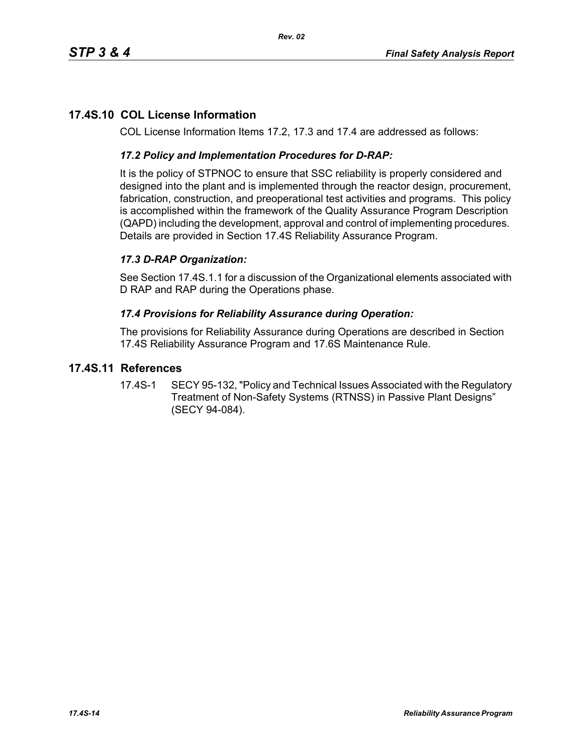# **17.4S.10 COL License Information**

COL License Information Items 17.2, 17.3 and 17.4 are addressed as follows:

### *17.2 Policy and Implementation Procedures for D-RAP:*

It is the policy of STPNOC to ensure that SSC reliability is properly considered and designed into the plant and is implemented through the reactor design, procurement, fabrication, construction, and preoperational test activities and programs. This policy is accomplished within the framework of the Quality Assurance Program Description (QAPD) including the development, approval and control of implementing procedures. Details are provided in Section 17.4S Reliability Assurance Program.

# *17.3 D-RAP Organization:*

See Section 17.4S.1.1 for a discussion of the Organizational elements associated with D RAP and RAP during the Operations phase.

### *17.4 Provisions for Reliability Assurance during Operation:*

The provisions for Reliability Assurance during Operations are described in Section 17.4S Reliability Assurance Program and 17.6S Maintenance Rule.

### **17.4S.11 References**

17.4S-1 SECY 95-132, "Policy and Technical Issues Associated with the Regulatory Treatment of Non-Safety Systems (RTNSS) in Passive Plant Designs" (SECY 94-084).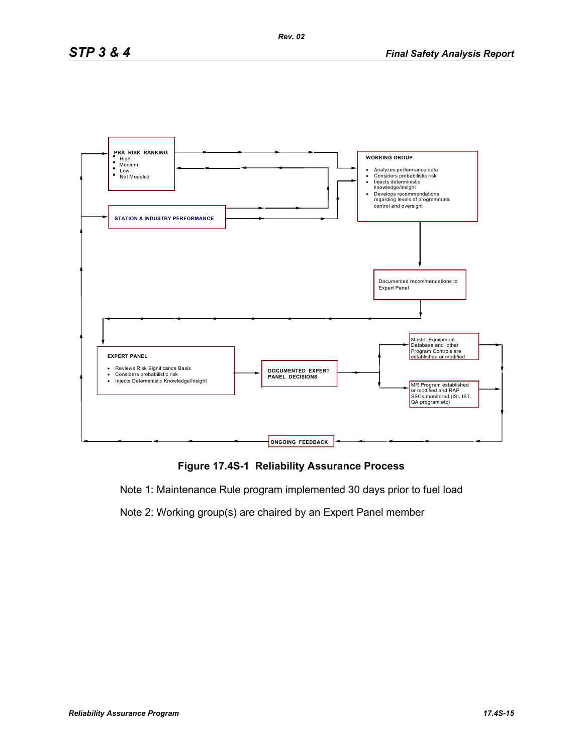

**Figure 17.4S-1 Reliability Assurance Process**

Note 1: Maintenance Rule program implemented 30 days prior to fuel load

Note 2: Working group(s) are chaired by an Expert Panel member

*Rev. 02*